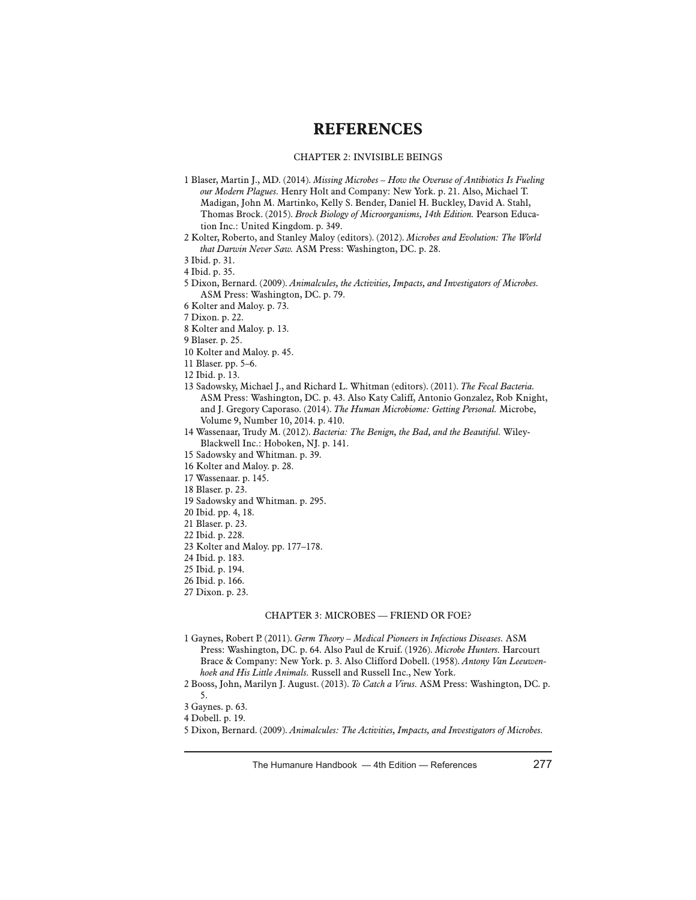# **REFERENCES**

## CHAPTER 2: INVISIBLE BEINGS

- 1 Blaser, Martin J., MD. (2014). *Missing Microbes How the Overuse of Antibiotics Is Fueling our Modern Plagues.* Henry Holt and Company: New York. p. 21. Also, Michael T. Madigan, John M. Martinko, Kelly S. Bender, Daniel H. Buckley, David A. Stahl, Thomas Brock. (2015). *Brock Biology of Microorganisms, 14th Edition.* Pearson Education Inc.: United Kingdom. p. 349.
- 2 Kolter, Roberto, and Stanley Maloy (editors). (2012). *Microbes and Evolution: The World that Darwin Never Saw.* ASM Press: Washington, DC. p. 28.
- 3 Ibid. p. 31.
- 4 Ibid. p. 35.
- 5 Dixon, Bernard. (2009). *Animalcules, the Activities, Impacts, and Investigators of Microbes.* ASM Press: Washington, DC. p. 79.
- 6 Kolter and Maloy. p. 73.
- 7 Dixon. p. 22.
- 8 Kolter and Maloy. p. 13.
- 9 Blaser. p. 25.
- 10 Kolter and Maloy. p. 45.
- 11 Blaser. pp. 5–6.
- 12 Ibid. p. 13.
- 13 Sadowsky, Michael J., and Richard L. Whitman (editors). (2011). *The Fecal Bacteria.* ASM Press: Washington, DC. p. 43. Also Katy Califf, Antonio Gonzalez, Rob Knight, and J. Gregory Caporaso. (2014). *The Human Microbiome: Getting Personal.* Microbe, Volume 9, Number 10, 2014. p. 410.
- 14 Wassenaar, Trudy M. (2012). *Bacteria: The Benign, the Bad, and the Beautiful.* Wiley-Blackwell Inc.: Hoboken, NJ. p. 141.
- 15 Sadowsky and Whitman. p. 39.
- 16 Kolter and Maloy. p. 28.
- 17 Wassenaar. p. 145.
- 18 Blaser. p. 23.
- 19 Sadowsky and Whitman. p. 295.
- 20 Ibid. pp. 4, 18.
- 21 Blaser. p. 23.
- 22 Ibid. p. 228.
- 23 Kolter and Maloy. pp. 177–178.
- 24 Ibid. p. 183.
- 25 Ibid. p. 194.
- 26 Ibid. p. 166.
- 27 Dixon. p. 23.

# CHAPTER 3: MICROBES — FRIEND OR FOE?

1 Gaynes, Robert P. (2011). *Germ Theory – Medical Pioneers in Infectious Diseases.* ASM Press: Washington, DC. p. 64. Also Paul de Kruif. (1926). *Microbe Hunters.* Harcourt Brace & Company: New York. p. 3. Also Clifford Dobell. (1958). *Antony Van Leeuwenhoek and His Little Animals.* Russell and Russell Inc., New York.

<sup>2</sup> Booss, John, Marilyn J. August. (2013). *To Catch a Virus.* ASM Press: Washington, DC. p. 5.

<sup>3</sup> Gaynes. p. 63.

<sup>4</sup> Dobell. p. 19.

<sup>5</sup> Dixon, Bernard. (2009). *Animalcules: The Activities, Impacts, and Investigators of Microbes.*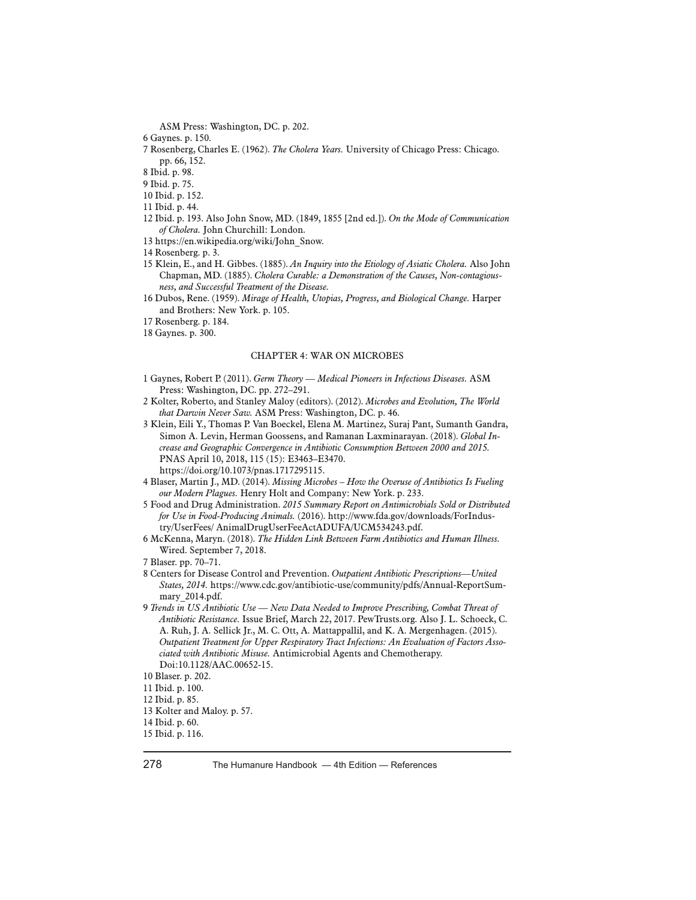ASM Press: Washington, DC. p. 202.

- 6 Gaynes. p. 150.
- 7 Rosenberg, Charles E. (1962). *The Cholera Years.* University of Chicago Press: Chicago. pp. 66, 152.

8 Ibid. p. 98.

9 Ibid. p. 75.

- 10 Ibid. p. 152.
- 11 Ibid. p. 44.
- 12 Ibid. p. 193. Also John Snow, MD. (1849, 1855 [2nd ed.]). *On the Mode of Communication of Cholera.* John Churchill: London.
- 13 https://en.wikipedia.org/wiki/John\_Snow.
- 14 Rosenberg. p. 3.
- 15 Klein, E., and H. Gibbes. (1885). *An Inquiry into the Etiology of Asiatic Cholera.* Also John Chapman, MD. (1885). *Cholera Curable: a Demonstration of the Causes, Non-contagiousness, and Successful Treatment of the Disease.*
- 16 Dubos, Rene. (1959). *Mirage of Health, Utopias, Progress, and Biological Change.* Harper and Brothers: New York. p. 105.
- 17 Rosenberg. p. 184.
- 18 Gaynes. p. 300.

#### CHAPTER 4: WAR ON MICROBES

- 1 Gaynes, Robert P. (2011). *Germ Theory Medical Pioneers in Infectious Diseases.* ASM Press: Washington, DC. pp. 272–291.
- 2 Kolter, Roberto, and Stanley Maloy (editors). (2012). *Microbes and Evolution, The World that Darwin Never Saw.* ASM Press: Washington, DC. p. 46.
- 3 Klein, Eili Y., Thomas P. Van Boeckel, Elena M. Martinez, Suraj Pant, Sumanth Gandra, Simon A. Levin, Herman Goossens, and Ramanan Laxminarayan. (2018). *Global Increase and Geographic Convergence in Antibiotic Consumption Between 2000 and 2015.* PNAS April 10, 2018, 115 (15): E3463–E3470. https://doi.org/10.1073/pnas.1717295115.
- 4 Blaser, Martin J., MD. (2014). *Missing Microbes How the Overuse of Antibiotics Is Fueling our Modern Plagues.* Henry Holt and Company: New York. p. 233.
- 5 Food and Drug Administration. *2015 Summary Report on Antimicrobials Sold or Distributed for Use in Food-Producing Animals.* (2016). http://www.fda.gov/downloads/ForIndustry/UserFees/ AnimalDrugUserFeeActADUFA/UCM534243.pdf.
- 6 McKenna, Maryn. (2018). *The Hidden Link Between Farm Antibiotics and Human Illness.* Wired. September 7, 2018.
- 7 Blaser. pp. 70–71.
- 8 Centers for Disease Control and Prevention. *Outpatient Antibiotic Prescriptions—United States, 2014.* https://www.cdc.gov/antibiotic-use/community/pdfs/Annual-ReportSummary\_2014.pdf.
- 9 *Trends in US Antibiotic Use New Data Needed to Improve Prescribing, Combat Threat of Antibiotic Resistance.* Issue Brief, March 22, 2017. PewTrusts.org. Also J. L. Schoeck, C. A. Ruh, J. A. Sellick Jr., M. C. Ott, A. Mattappallil, and K. A. Mergenhagen. (2015). *Outpatient Treatment for Upper Respiratory Tract Infections: An Evaluation of Factors Associated with Antibiotic Misuse.* Antimicrobial Agents and Chemotherapy. Doi:10.1128/AAC.00652-15.

<sup>10</sup> Blaser. p. 202.

<sup>11</sup> Ibid. p. 100.

<sup>12</sup> Ibid. p. 85.

<sup>13</sup> Kolter and Maloy. p. 57.

<sup>14</sup> Ibid. p. 60.

<sup>15</sup> Ibid. p. 116.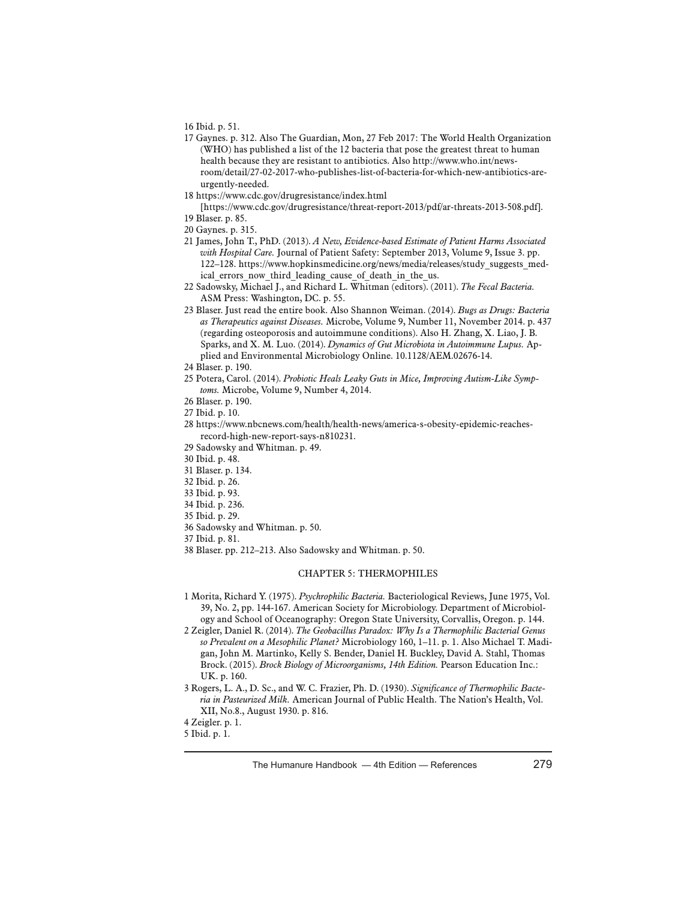16 Ibid. p. 51.

- 17 Gaynes. p. 312. Also The Guardian, Mon, 27 Feb 2017: The World Health Organization (WHO) has published a list of the 12 bacteria that pose the greatest threat to human health because they are resistant to antibiotics. Also http://www.who.int/newsroom/detail/27-02-2017-who-publishes-list-of-bacteria-for-which-new-antibiotics-areurgently-needed.
- 18 https://www.cdc.gov/drugresistance/index.html

[https://www.cdc.gov/drugresistance/threat-report-2013/pdf/ar-threats-2013-508.pdf]. 19 Blaser. p. 85.

- 20 Gaynes. p. 315.
- 21 James, John T., PhD. (2013). *A New, Evidence-based Estimate of Patient Harms Associated with Hospital Care.* Journal of Patient Safety: September 2013, Volume 9, Issue 3. pp. 122–128. https://www.hopkinsmedicine.org/news/media/releases/study\_suggests\_medical errors now third leading cause of death in the us.
- 22 Sadowsky, Michael J., and Richard L. Whitman (editors). (2011). *The Fecal Bacteria.* ASM Press: Washington, DC. p. 55.
- 23 Blaser. Just read the entire book. Also Shannon Weiman. (2014). *Bugs as Drugs: Bacteria as Therapeutics against Diseases.* Microbe, Volume 9, Number 11, November 2014. p. 437 (regarding osteoporosis and autoimmune conditions). Also H. Zhang, X. Liao, J. B. Sparks, and X. M. Luo. (2014). *Dynamics of Gut Microbiota in Autoimmune Lupus.* Applied and Environmental Microbiology Online. 10.1128/AEM.02676-14.

- 25 Potera, Carol. (2014). *Probiotic Heals Leaky Guts in Mice, Improving Autism-Like Symptoms.* Microbe, Volume 9, Number 4, 2014.
- 26 Blaser. p. 190.
- 27 Ibid. p. 10.
- 28 https://www.nbcnews.com/health/health-news/america-s-obesity-epidemic-reachesrecord-high-new-report-says-n810231.
- 29 Sadowsky and Whitman. p. 49.
- 30 Ibid. p. 48.
- 31 Blaser. p. 134.
- 32 Ibid. p. 26.
- 33 Ibid. p. 93.
- 34 Ibid. p. 236.
- 35 Ibid. p. 29.
- 36 Sadowsky and Whitman. p. 50.
- 37 Ibid. p. 81.
- 38 Blaser. pp. 212–213. Also Sadowsky and Whitman. p. 50.

# CHAPTER 5: THERMOPHILES

- 1 Morita, Richard Y. (1975). *Psychrophilic Bacteria.* Bacteriological Reviews, June 1975, Vol. 39, No. 2, pp. 144-167. American Society for Microbiology. Department of Microbiology and School of Oceanography: Oregon State University, Corvallis, Oregon. p. 144.
- 2 Zeigler, Daniel R. (2014). *The Geobacillus Paradox: Why Is a Thermophilic Bacterial Genus so Prevalent on a Mesophilic Planet?* Microbiology 160, 1–11. p. 1. Also Michael T. Madigan, John M. Martinko, Kelly S. Bender, Daniel H. Buckley, David A. Stahl, Thomas Brock. (2015). *Brock Biology of Microorganisms, 14th Edition.* Pearson Education Inc.: UK. p. 160.
- 3 Rogers, L. A., D. Sc., and W. C. Frazier, Ph. D. (1930). *Significance of Thermophilic Bacteria in Pasteurized Milk.* American Journal of Public Health. The Nation's Health, Vol. XII, No.8., August 1930. p. 816.

<sup>24</sup> Blaser. p. 190.

<sup>4</sup> Zeigler. p. 1.

<sup>5</sup> Ibid. p. 1.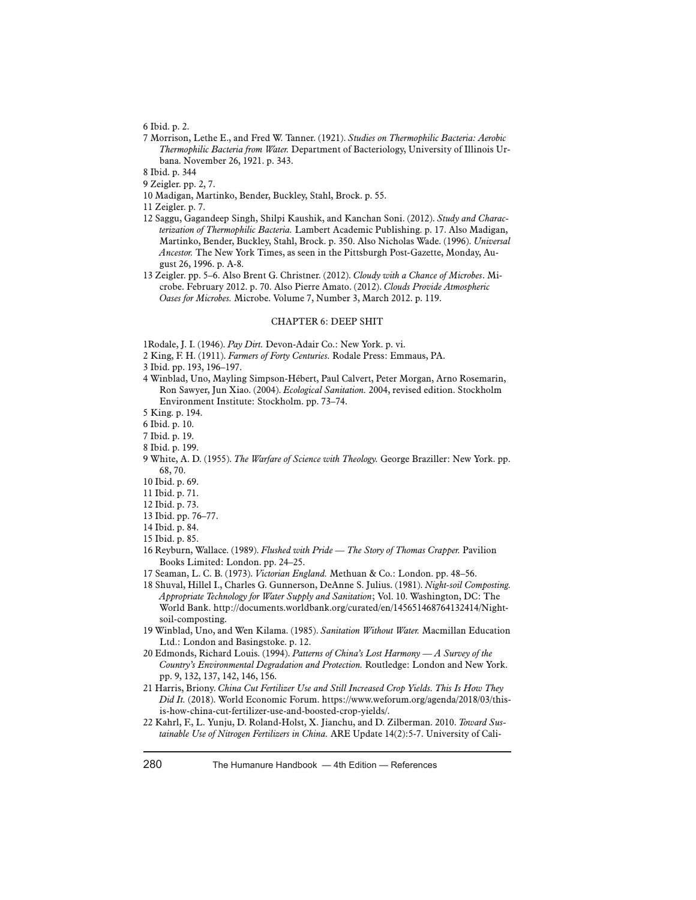6 Ibid. p. 2.

- 7 Morrison, Lethe E., and Fred W. Tanner. (1921). *Studies on Thermophilic Bacteria: Aerobic Thermophilic Bacteria from Water.* Department of Bacteriology, University of Illinois Urbana. November 26, 1921. p. 343.
- 8 Ibid. p. 344
- 9 Zeigler. pp. 2, 7.
- 10 Madigan, Martinko, Bender, Buckley, Stahl, Brock. p. 55.
- 11 Zeigler. p. 7.
- 12 Saggu, Gagandeep Singh, Shilpi Kaushik, and Kanchan Soni. (2012). *Study and Characterization of Thermophilic Bacteria.* Lambert Academic Publishing. p. 17. Also Madigan, Martinko, Bender, Buckley, Stahl, Brock. p. 350. Also Nicholas Wade. (1996). *Universal Ancestor.* The New York Times, as seen in the Pittsburgh Post-Gazette, Monday, August 26, 1996. p. A-8.
- 13 Zeigler. pp. 5–6. Also Brent G. Christner. (2012). *Cloudy with a Chance of Microbes*. Microbe. February 2012. p. 70. Also Pierre Amato. (2012). *Clouds Provide Atmospheric Oases for Microbes.* Microbe. Volume 7, Number 3, March 2012. p. 119.

### CHAPTER 6: DEEP SHIT

1Rodale, J. I. (1946). *Pay Dirt.* Devon-Adair Co.: New York. p. vi.

- 2 King, F. H. (1911). *Farmers of Forty Centuries.* Rodale Press: Emmaus, PA.
- 3 Ibid. pp. 193, 196–197.
- 4 Winblad, Uno, Mayling Simpson-Hébert, Paul Calvert, Peter Morgan, Arno Rosemarin, Ron Sawyer, Jun Xiao. (2004). *Ecological Sanitation.* 2004, revised edition. Stockholm Environment Institute: Stockholm. pp. 73–74.
- 5 King. p. 194.
- 6 Ibid. p. 10.
- 7 Ibid. p. 19.
- 8 Ibid. p. 199.
- 9 White, A. D. (1955). *The Warfare of Science with Theology.* George Braziller: New York. pp. 68, 70.
- 10 Ibid. p. 69.
- 11 Ibid. p. 71.
- 12 Ibid. p. 73.
- 13 Ibid. pp. 76–77.
- 14 Ibid. p. 84.
- 15 Ibid. p. 85.
- 16 Reyburn, Wallace. (1989). *Flushed with Pride The Story of Thomas Crapper.* Pavilion Books Limited: London. pp. 24–25.
- 17 Seaman, L. C. B. (1973). *Victorian England.* Methuan & Co.: London. pp. 48–56.
- 18 Shuval, Hillel I., Charles G. Gunnerson, DeAnne S. Julius. (1981). *Night-soil Composting. Appropriate Technology for Water Supply and Sanitation*; Vol. 10. Washington, DC: The World Bank. http://documents.worldbank.org/curated/en/145651468764132414/Nightsoil-composting.
- 19 Winblad, Uno, and Wen Kilama. (1985). *Sanitation Without Water.* Macmillan Education Ltd.: London and Basingstoke. p. 12.
- 20 Edmonds, Richard Louis. (1994). *Patterns of China's Lost Harmony A Survey of the Country's Environmental Degradation and Protection.* Routledge: London and New York. pp. 9, 132, 137, 142, 146, 156.
- 21 Harris, Briony. *China Cut Fertilizer Use and Still Increased Crop Yields. This Is How They Did It.* (2018). World Economic Forum. https://www.weforum.org/agenda/2018/03/thisis-how-china-cut-fertilizer-use-and-boosted-crop-yields/.
- 22 Kahrl, F., L. Yunju, D. Roland-Holst, X. Jianchu, and D. Zilberman. 2010. *Toward Sustainable Use of Nitrogen Fertilizers in China.* ARE Update 14(2):5-7. University of Cali-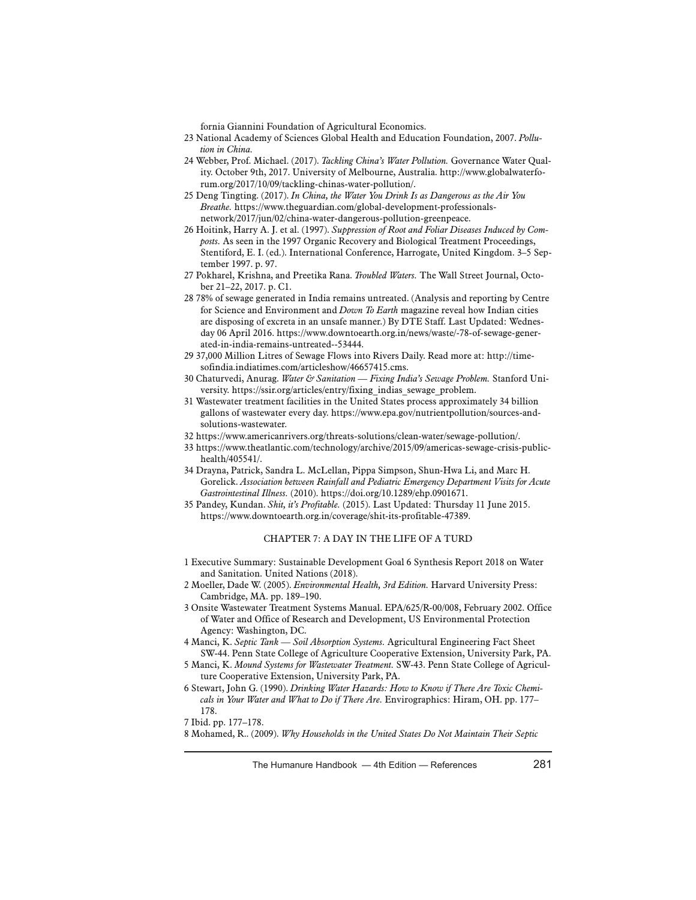fornia Giannini Foundation of Agricultural Economics.

- 23 National Academy of Sciences Global Health and Education Foundation, 2007. *Pollution in China.*
- 24 Webber, Prof. Michael. (2017). *Tackling China's Water Pollution.* Governance Water Quality. October 9th, 2017. University of Melbourne, Australia. http://www.globalwaterforum.org/2017/10/09/tackling-chinas-water-pollution/.
- 25 Deng Tingting. (2017). *In China, the Water You Drink Is as Dangerous as the Air You Breathe.* https://www.theguardian.com/global-development-professionalsnetwork/2017/jun/02/china-water-dangerous-pollution-greenpeace.
- 26 Hoitink, Harry A. J. et al. (1997). *Suppression of Root and Foliar Diseases Induced by Composts.* As seen in the 1997 Organic Recovery and Biological Treatment Proceedings, Stentiford, E. I. (ed.). International Conference, Harrogate, United Kingdom. 3–5 September 1997. p. 97.
- 27 Pokharel, Krishna, and Preetika Rana. *Troubled Waters.* The Wall Street Journal, October 21–22, 2017. p. C1.
- 28 78% of sewage generated in India remains untreated. (Analysis and reporting by Centre for Science and Environment and *Down To Earth* magazine reveal how Indian cities are disposing of excreta in an unsafe manner.) By DTE Staff. Last Updated: Wednesday 06 April 2016. https://www.downtoearth.org.in/news/waste/-78-of-sewage-generated-in-india-remains-untreated--53444.
- 29 37,000 Million Litres of Sewage Flows into Rivers Daily. Read more at: http://timesofindia.indiatimes.com/articleshow/46657415.cms.
- 30 Chaturvedi, Anurag. *Water & Sanitation Fixing India's Sewage Problem.* Stanford University. https://ssir.org/articles/entry/fixing\_indias\_sewage\_problem.
- 31 Wastewater treatment facilities in the United States process approximately 34 billion gallons of wastewater every day. https://www.epa.gov/nutrientpollution/sources-andsolutions-wastewater.
- 32 https://www.americanrivers.org/threats-solutions/clean-water/sewage-pollution/.
- 33 https://www.theatlantic.com/technology/archive/2015/09/americas-sewage-crisis-publichealth/405541/.
- 34 Drayna, Patrick, Sandra L. McLellan, Pippa Simpson, Shun-Hwa Li, and Marc H. Gorelick. *Association between Rainfall and Pediatric Emergency Department Visits for Acute Gastrointestinal Illness.* (2010). https://doi.org/10.1289/ehp.0901671.
- 35 Pandey, Kundan. *Shit, it's Profitable.* (2015). Last Updated: Thursday 11 June 2015. https://www.downtoearth.org.in/coverage/shit-its-profitable-47389.

## CHAPTER 7: A DAY IN THE LIFE OF A TURD

- 1 Executive Summary: Sustainable Development Goal 6 Synthesis Report 2018 on Water and Sanitation. United Nations (2018).
- 2 Moeller, Dade W. (2005). *Environmental Health, 3rd Edition.* Harvard University Press: Cambridge, MA. pp. 189–190.
- 3 Onsite Wastewater Treatment Systems Manual. EPA/625/R-00/008, February 2002. Office of Water and Office of Research and Development, US Environmental Protection Agency: Washington, DC.
- 4 Manci, K. *Septic Tank Soil Absorption Systems.* Agricultural Engineering Fact Sheet SW-44. Penn State College of Agriculture Cooperative Extension, University Park, PA.
- 5 Manci, K. *Mound Systems for Wastewater Treatment.* SW-43. Penn State College of Agriculture Cooperative Extension, University Park, PA.
- 6 Stewart, John G. (1990). *Drinking Water Hazards: How to Know if There Are Toxic Chemicals in Your Water and What to Do if There Are.* Envirographics: Hiram, OH. pp. 177– 178.

<sup>7</sup> Ibid. pp. 177–178.

<sup>8</sup> Mohamed, R.. (2009). *Why Households in the United States Do Not Maintain Their Septic*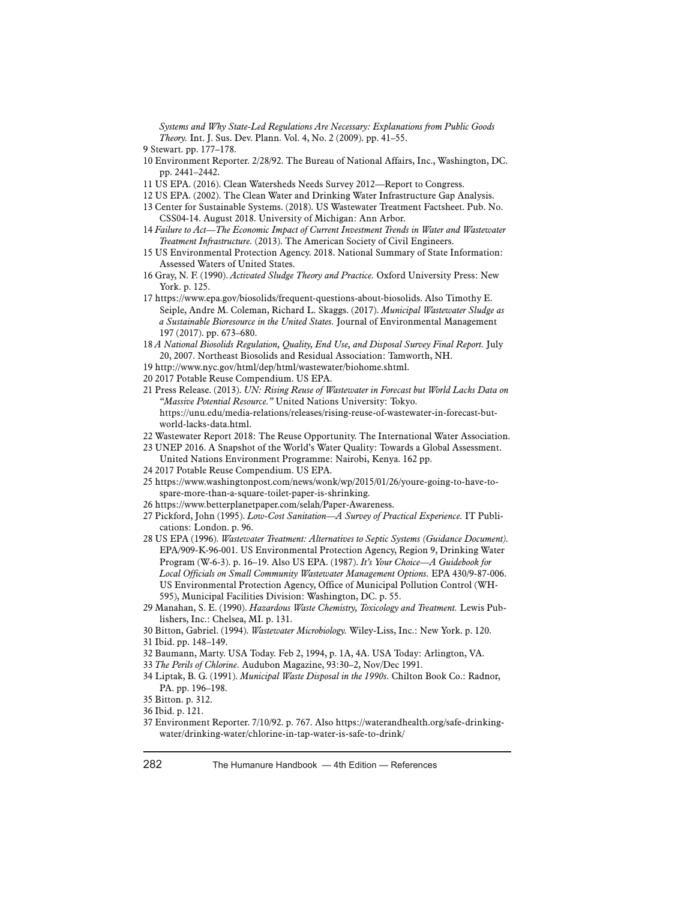*Systems and Why State-Led Regulations Are Necessary: Explanations from Public Goods Theory.* Int. J. Sus. Dev. Plann. Vol. 4, No. 2 (2009). pp. 41–55.

- 10 Environment Reporter. 2/28/92. The Bureau of National Affairs, Inc., Washington, DC. pp. 2441–2442.
- 11 US EPA. (2016). Clean Watersheds Needs Survey 2012—Report to Congress.
- 12 US EPA. (2002). The Clean Water and Drinking Water Infrastructure Gap Analysis.
- 13 Center for Sustainable Systems. (2018). US Wastewater Treatment Factsheet. Pub. No. CSS04-14. August 2018. University of Michigan: Ann Arbor.
- 14 *Failure to Act—The Economic Impact of Current Investment Trends in Water and Wastewater Treatment Infrastructure.* (2013). The American Society of Civil Engineers.
- 15 US Environmental Protection Agency. 2018. National Summary of State Information: Assessed Waters of United States.
- 16 Gray, N. F. (1990). *Activated Sludge Theory and Practice.* Oxford University Press: New York. p. 125.
- 17 https://www.epa.gov/biosolids/frequent-questions-about-biosolids. Also Timothy E. Seiple, Andre M. Coleman, Richard L. Skaggs. (2017). *Municipal Wastewater Sludge as a Sustainable Bioresource in the United States.* Journal of Environmental Management 197 (2017). pp. 673–680.
- 18 *A National Biosolids Regulation, Quality, End Use, and Disposal Survey Final Report.* July 20, 2007. Northeast Biosolids and Residual Association: Tamworth, NH.
- 19 http://www.nyc.gov/html/dep/html/wastewater/biohome.shtml.
- 20 2017 Potable Reuse Compendium. US EPA.
- 21 Press Release. (2013). *UN: Rising Reuse of Wastewater in Forecast but World Lacks Data on "Massive Potential Resource."* United Nations University: Tokyo. https://unu.edu/media-relations/releases/rising-reuse-of-wastewater-in-forecast-butworld-lacks-data.html.
- 22 Wastewater Report 2018: The Reuse Opportunity. The International Water Association.
- 23 UNEP 2016. A Snapshot of the World's Water Quality: Towards a Global Assessment. United Nations Environment Programme: Nairobi, Kenya. 162 pp.
- 24 2017 Potable Reuse Compendium. US EPA.
- 25 https://www.washingtonpost.com/news/wonk/wp/2015/01/26/youre-going-to-have-tospare-more-than-a-square-toilet-paper-is-shrinking.
- 26 https://www.betterplanetpaper.com/selah/Paper-Awareness.
- 27 Pickford, John (1995). *Low-Cost Sanitation—A Survey of Practical Experience.* IT Publications: London. p. 96.
- 28 US EPA (1996). *Wastewater Treatment: Alternatives to Septic Systems (Guidance Document).*  EPA/909-K-96-001. US Environmental Protection Agency, Region 9, Drinking Water Program (W-6-3). p. 16–19. Also US EPA. (1987). *It's Your Choice—A Guidebook for Local Officials on Small Community Wastewater Management Options.* EPA 430/9-87-006. US Environmental Protection Agency, Office of Municipal Pollution Control (WH-595), Municipal Facilities Division: Washington, DC. p. 55.
- 29 Manahan, S. E. (1990). *Hazardous Waste Chemistry, Toxicology and Treatment.* Lewis Publishers, Inc.: Chelsea, MI. p. 131.
- 30 Bitton, Gabriel. (1994). *Wastewater Microbiology.* Wiley-Liss, Inc.: New York. p. 120. 31 Ibid. pp. 148–149.
- 32 Baumann, Marty. USA Today. Feb 2, 1994, p. 1A, 4A. USA Today: Arlington, VA.
- 33 *The Perils of Chlorine.* Audubon Magazine, 93:30–2, Nov/Dec 1991.
- 34 Liptak, B. G. (1991). *Municipal Waste Disposal in the 1990s.* Chilton Book Co.: Radnor, PA. pp. 196–198.

37 Environment Reporter. 7/10/92. p. 767. Also https://waterandhealth.org/safe-drinkingwater/drinking-water/chlorine-in-tap-water-is-safe-to-drink/

<sup>9</sup> Stewart. pp. 177–178.

<sup>35</sup> Bitton. p. 312.

<sup>36</sup> Ibid. p. 121.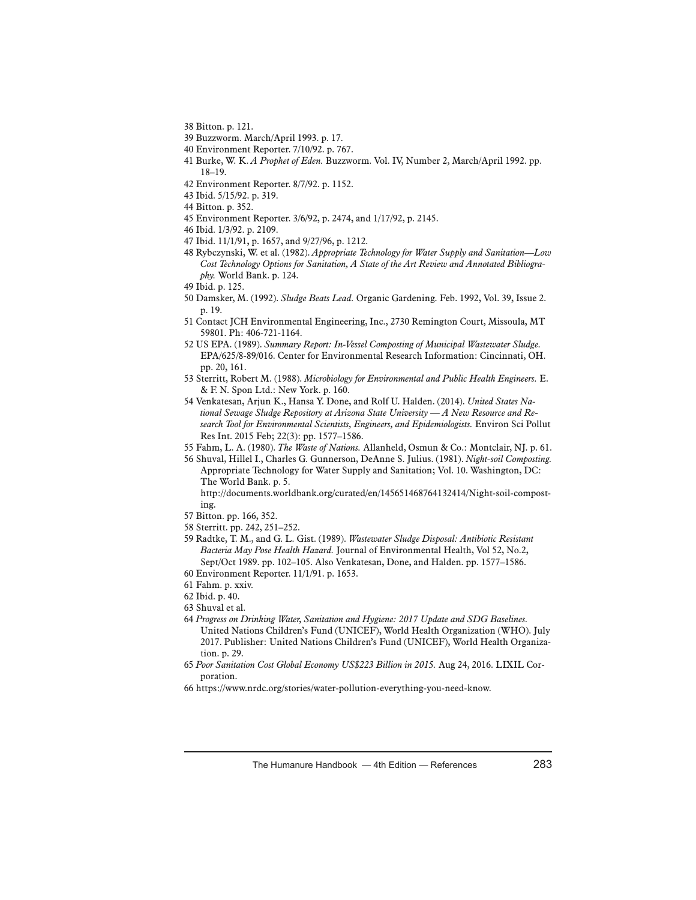- 38 Bitton. p. 121.
- 39 Buzzworm. March/April 1993. p. 17.
- 40 Environment Reporter. 7/10/92. p. 767.
- 41 Burke, W. K. *A Prophet of Eden.* Buzzworm. Vol. IV, Number 2, March/April 1992. pp. 18–19.
- 42 Environment Reporter. 8/7/92. p. 1152.
- 43 Ibid. 5/15/92. p. 319.
- 44 Bitton. p. 352.
- 45 Environment Reporter. 3/6/92, p. 2474, and 1/17/92, p. 2145.
- 46 Ibid. 1/3/92. p. 2109.
- 47 Ibid. 11/1/91, p. 1657, and 9/27/96, p. 1212.
- 48 Rybczynski, W. et al. (1982). *Appropriate Technology for Water Supply and Sanitation—Low Cost Technology Options for Sanitation, A State of the Art Review and Annotated Bibliography.* World Bank. p. 124.
- 49 Ibid. p. 125.
- 50 Damsker, M. (1992). *Sludge Beats Lead.* Organic Gardening. Feb. 1992, Vol. 39, Issue 2. p. 19.
- 51 Contact JCH Environmental Engineering, Inc., 2730 Remington Court, Missoula, MT 59801. Ph: 406-721-1164.
- 52 US EPA. (1989). *Summary Report: In-Vessel Composting of Municipal Wastewater Sludge.* EPA/625/8-89/016. Center for Environmental Research Information: Cincinnati, OH. pp. 20, 161.
- 53 Sterritt, Robert M. (1988). *Microbiology for Environmental and Public Health Engineers.* E. & F. N. Spon Ltd.: New York. p. 160.
- 54 Venkatesan, Arjun K., Hansa Y. Done, and Rolf U. Halden. (2014). *United States National Sewage Sludge Repository at Arizona State University — A New Resource and Research Tool for Environmental Scientists, Engineers, and Epidemiologists.* Environ Sci Pollut Res Int. 2015 Feb; 22(3): pp. 1577–1586.
- 55 Fahm, L. A. (1980). *The Waste of Nations.* Allanheld, Osmun & Co.: Montclair, NJ. p. 61.
- 56 Shuval, Hillel I., Charles G. Gunnerson, DeAnne S. Julius. (1981). *Night-soil Composting.*  Appropriate Technology for Water Supply and Sanitation; Vol. 10. Washington, DC: The World Bank. p. 5.

http://documents.worldbank.org/curated/en/145651468764132414/Night-soil-composting.

- 57 Bitton. pp. 166, 352.
- 58 Sterritt. pp. 242, 251–252.
- 59 Radtke, T. M., and G. L. Gist. (1989). *Wastewater Sludge Disposal: Antibiotic Resistant Bacteria May Pose Health Hazard.* Journal of Environmental Health, Vol 52, No.2, Sept/Oct 1989. pp. 102–105. Also Venkatesan, Done, and Halden. pp. 1577–1586.
- 60 Environment Reporter. 11/1/91. p. 1653.
- 61 Fahm. p. xxiv.
- 62 Ibid. p. 40.
- 63 Shuval et al.
- 64 *Progress on Drinking Water, Sanitation and Hygiene: 2017 Update and SDG Baselines.*  United Nations Children's Fund (UNICEF), World Health Organization (WHO). July 2017. Publisher: United Nations Children's Fund (UNICEF), World Health Organization. p. 29.
- 65 *Poor Sanitation Cost Global Economy US\$223 Billion in 2015.* Aug 24, 2016. LIXIL Corporation.
- 66 https://www.nrdc.org/stories/water-pollution-everything-you-need-know.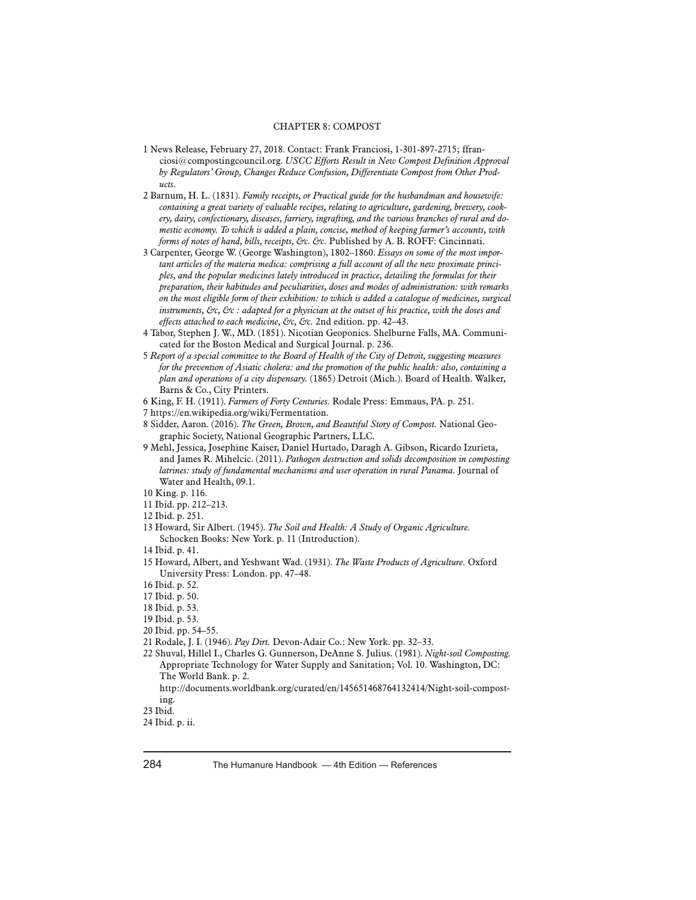# CHAPTER 8: COMPOST

- 1 News Release, February 27, 2018. Contact: Frank Franciosi, 1-301-897-2715; ffranciosi@compostingcouncil.org. *USCC Efforts Result in New Compost Definition Approval by Regulators' Group, Changes Reduce Confusion, Differentiate Compost from Other Products.*
- 2 Barnum, H. L. (1831). *Family receipts, or Practical guide for the husbandman and housewife: containing a great variety of valuable recipes, relating to agriculture, gardening, brewery, cookery, dairy, confectionary, diseases, farriery, ingrafting, and the various branches of rural and domestic economy. To which is added a plain, concise, method of keeping farmer's accounts, with forms of notes of hand, bills, receipts, &c. &c.* Published by A. B. ROFF: Cincinnati.
- 3 Carpenter, George W. (George Washington), 1802–1860. *Essays on some of the most important articles of the materia medica: comprising a full account of all the new proximate principles, and the popular medicines lately introduced in practice, detailing the formulas for their preparation, their habitudes and peculiarities, doses and modes of administration: with remarks on the most eligible form of their exhibition: to which is added a catalogue of medicines, surgical instruments, &c, &c : adapted for a physician at the outset of his practice, with the doses and effects attached to each medicine, &c, &c.* 2nd edition. pp. 42–43.
- 4 Tabor, Stephen J. W., MD. (1851). Nicotian Geoponics. Shelburne Falls, MA. Communicated for the Boston Medical and Surgical Journal. p. 236.
- 5 *Report of a special committee to the Board of Health of the City of Detroit, suggesting measures for the prevention of Asiatic cholera: and the promotion of the public health: also, containing a plan and operations of a city dispensary.* (1865) Detroit (Mich.). Board of Health. Walker, Barns & Co., City Printers.
- 6 King, F. H. (1911). *Farmers of Forty Centuries.* Rodale Press: Emmaus, PA. p. 251.
- 7 https://en.wikipedia.org/wiki/Fermentation.
- 8 Sidder, Aaron. (2016). *The Green, Brown, and Beautiful Story of Compost.* National Geographic Society, National Geographic Partners, LLC.
- 9 Mehl, Jessica, Josephine Kaiser, Daniel Hurtado, Daragh A. Gibson, Ricardo Izurieta, and James R. Mihelcic. (2011). *Pathogen destruction and solids decomposition in composting latrines: study of fundamental mechanisms and user operation in rural Panama.* Journal of Water and Health, 09.1.

- 11 Ibid. pp. 212–213.
- 12 Ibid. p. 251.
- 13 Howard, Sir Albert. (1945). *The Soil and Health: A Study of Organic Agriculture.*  Schocken Books: New York. p. 11 (Introduction).
- 14 Ibid. p. 41.
- 15 Howard, Albert, and Yeshwant Wad. (1931). *The Waste Products of Agriculture.* Oxford University Press: London. pp. 47–48.
- 16 Ibid. p. 52.
- 17 Ibid. p. 50.
- 18 Ibid. p. 53.
- 19 Ibid. p. 53.
- 20 Ibid. pp. 54–55.
- 21 Rodale, J. I. (1946). *Pay Dirt.* Devon-Adair Co.: New York. pp. 32–33.
- 22 Shuval, Hillel I., Charles G. Gunnerson, DeAnne S. Julius. (1981). *Night-soil Composting.* Appropriate Technology for Water Supply and Sanitation; Vol. 10. Washington, DC: The World Bank. p. 2.
	- http://documents.worldbank.org/curated/en/145651468764132414/Night-soil-composting.

<sup>10</sup> King. p. 116.

<sup>23</sup> Ibid.

<sup>24</sup> Ibid. p. ii.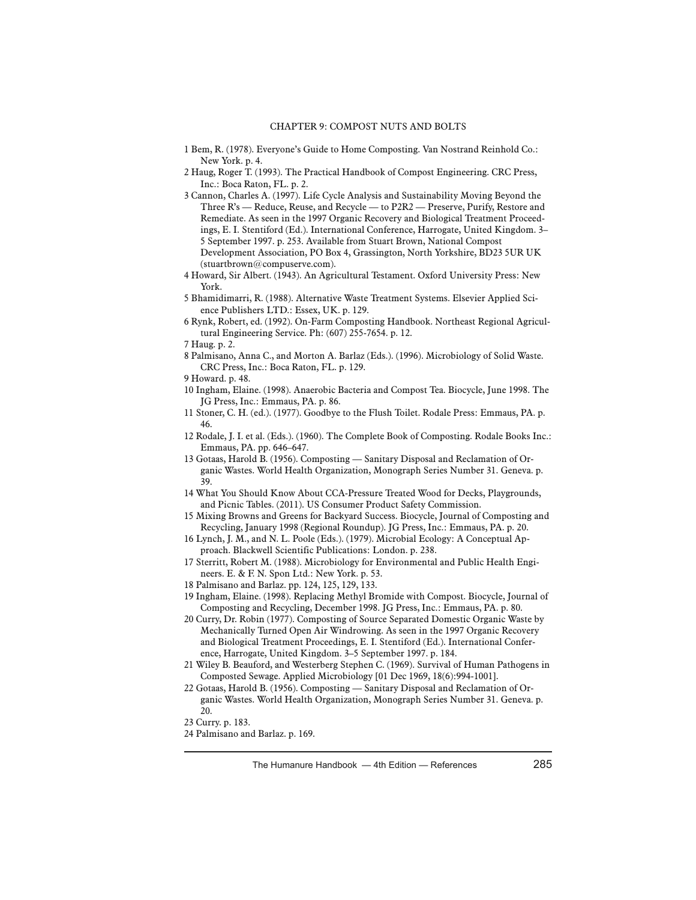- 1 Bem, R. (1978). Everyone's Guide to Home Composting. Van Nostrand Reinhold Co.: New York. p. 4.
- 2 Haug, Roger T. (1993). The Practical Handbook of Compost Engineering. CRC Press, Inc.: Boca Raton, FL. p. 2.
- 3 Cannon, Charles A. (1997). Life Cycle Analysis and Sustainability Moving Beyond the Three R's — Reduce, Reuse, and Recycle — to P2R2 — Preserve, Purify, Restore and Remediate. As seen in the 1997 Organic Recovery and Biological Treatment Proceedings, E. I. Stentiford (Ed.). International Conference, Harrogate, United Kingdom. 3– 5 September 1997. p. 253. Available from Stuart Brown, National Compost Development Association, PO Box 4, Grassington, North Yorkshire, BD23 5UR UK (stuartbrown@compuserve.com).
- 4 Howard, Sir Albert. (1943). An Agricultural Testament. Oxford University Press: New York.
- 5 Bhamidimarri, R. (1988). Alternative Waste Treatment Systems. Elsevier Applied Science Publishers LTD.: Essex, UK. p. 129.
- 6 Rynk, Robert, ed. (1992). On-Farm Composting Handbook. Northeast Regional Agricultural Engineering Service. Ph: (607) 255-7654. p. 12.
- 7 Haug. p. 2.
- 8 Palmisano, Anna C., and Morton A. Barlaz (Eds.). (1996). Microbiology of Solid Waste. CRC Press, Inc.: Boca Raton, FL. p. 129.
- 9 Howard. p. 48.
- 10 Ingham, Elaine. (1998). Anaerobic Bacteria and Compost Tea. Biocycle, June 1998. The JG Press, Inc.: Emmaus, PA. p. 86.
- 11 Stoner, C. H. (ed.). (1977). Goodbye to the Flush Toilet. Rodale Press: Emmaus, PA. p. 46.
- 12 Rodale, J. I. et al. (Eds.). (1960). The Complete Book of Composting. Rodale Books Inc.: Emmaus, PA. pp. 646–647.
- 13 Gotaas, Harold B. (1956). Composting Sanitary Disposal and Reclamation of Organic Wastes. World Health Organization, Monograph Series Number 31. Geneva. p. 39.
- 14 What You Should Know About CCA-Pressure Treated Wood for Decks, Playgrounds, and Picnic Tables. (2011). US Consumer Product Safety Commission.
- 15 Mixing Browns and Greens for Backyard Success. Biocycle, Journal of Composting and Recycling, January 1998 (Regional Roundup). JG Press, Inc.: Emmaus, PA. p. 20.
- 16 Lynch, J. M., and N. L. Poole (Eds.). (1979). Microbial Ecology: A Conceptual Approach. Blackwell Scientific Publications: London. p. 238.
- 17 Sterritt, Robert M. (1988). Microbiology for Environmental and Public Health Engineers. E. & F. N. Spon Ltd.: New York. p. 53.
- 18 Palmisano and Barlaz. pp. 124, 125, 129, 133.
- 19 Ingham, Elaine. (1998). Replacing Methyl Bromide with Compost. Biocycle, Journal of Composting and Recycling, December 1998. JG Press, Inc.: Emmaus, PA. p. 80.
- 20 Curry, Dr. Robin (1977). Composting of Source Separated Domestic Organic Waste by Mechanically Turned Open Air Windrowing. As seen in the 1997 Organic Recovery and Biological Treatment Proceedings, E. I. Stentiford (Ed.). International Conference, Harrogate, United Kingdom. 3–5 September 1997. p. 184.
- 21 Wiley B. Beauford, and Westerberg Stephen C. (1969). Survival of Human Pathogens in Composted Sewage. Applied Microbiology [01 Dec 1969, 18(6):994-1001].
- 22 Gotaas, Harold B. (1956). Composting Sanitary Disposal and Reclamation of Organic Wastes. World Health Organization, Monograph Series Number 31. Geneva. p. 20.
- 23 Curry. p. 183.
- 24 Palmisano and Barlaz. p. 169.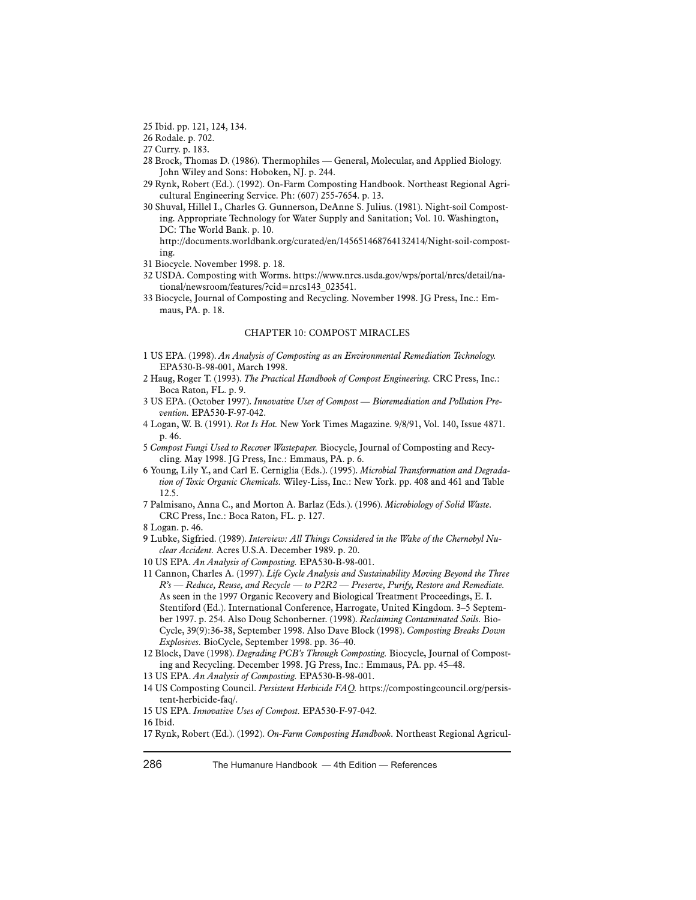25 Ibid. pp. 121, 124, 134.

26 Rodale. p. 702.

27 Curry. p. 183.

- 28 Brock, Thomas D. (1986). Thermophiles General, Molecular, and Applied Biology. John Wiley and Sons: Hoboken, NJ. p. 244.
- 29 Rynk, Robert (Ed.). (1992). On-Farm Composting Handbook. Northeast Regional Agricultural Engineering Service. Ph: (607) 255-7654. p. 13.
- 30 Shuval, Hillel I., Charles G. Gunnerson, DeAnne S. Julius. (1981). Night-soil Composting. Appropriate Technology for Water Supply and Sanitation; Vol. 10. Washington, DC: The World Bank. p. 10.

http://documents.worldbank.org/curated/en/145651468764132414/Night-soil-composting.

31 Biocycle. November 1998. p. 18.

- 32 USDA. Composting with Worms. https://www.nrcs.usda.gov/wps/portal/nrcs/detail/national/newsroom/features/?cid=nrcs143\_023541.
- 33 Biocycle, Journal of Composting and Recycling. November 1998. JG Press, Inc.: Emmaus, PA. p. 18.

#### CHAPTER 10: COMPOST MIRACLES

- 1 US EPA. (1998). *An Analysis of Composting as an Environmental Remediation Technology.* EPA530-B-98-001, March 1998.
- 2 Haug, Roger T. (1993). *The Practical Handbook of Compost Engineering.* CRC Press, Inc.: Boca Raton, FL. p. 9.
- 3 US EPA. (October 1997). *Innovative Uses of Compost Bioremediation and Pollution Prevention.* EPA530-F-97-042.
- 4 Logan, W. B. (1991). *Rot Is Hot.* New York Times Magazine. 9/8/91, Vol. 140, Issue 4871. p. 46.
- 5 *Compost Fungi Used to Recover Wastepaper.* Biocycle, Journal of Composting and Recycling. May 1998. JG Press, Inc.: Emmaus, PA. p. 6.
- 6 Young, Lily Y., and Carl E. Cerniglia (Eds.). (1995). *Microbial Transformation and Degradation of Toxic Organic Chemicals.* Wiley-Liss, Inc.: New York. pp. 408 and 461 and Table 12.5.
- 7 Palmisano, Anna C., and Morton A. Barlaz (Eds.). (1996). *Microbiology of Solid Waste.*  CRC Press, Inc.: Boca Raton, FL. p. 127.

- 9 Lubke, Sigfried. (1989). *Interview: All Things Considered in the Wake of the Chernobyl Nuclear Accident.* Acres U.S.A. December 1989. p. 20.
- 10 US EPA. *An Analysis of Composting.* EPA530-B-98-001.
- 11 Cannon, Charles A. (1997). *Life Cycle Analysis and Sustainability Moving Beyond the Three R's — Reduce, Reuse, and Recycle — to P2R2 — Preserve, Purify, Restore and Remediate.*  As seen in the 1997 Organic Recovery and Biological Treatment Proceedings, E. I. Stentiford (Ed.). International Conference, Harrogate, United Kingdom. 3–5 September 1997. p. 254. Also Doug Schonberner. (1998). *Reclaiming Contaminated Soils.* Bio-Cycle, 39(9):36-38, September 1998. Also Dave Block (1998). *Composting Breaks Down Explosives.* BioCycle, September 1998. pp. 36–40.
- 12 Block, Dave (1998). *Degrading PCB's Through Composting.* Biocycle, Journal of Composting and Recycling. December 1998. JG Press, Inc.: Emmaus, PA. pp. 45–48.
- 13 US EPA. *An Analysis of Composting.* EPA530-B-98-001.
- 14 US Composting Council. *Persistent Herbicide FAQ.* https://compostingcouncil.org/persistent-herbicide-faq/.
- 15 US EPA. *Innovative Uses of Compost.* EPA530-F-97-042.

17 Rynk, Robert (Ed.). (1992). *On-Farm Composting Handbook.* Northeast Regional Agricul-

<sup>8</sup> Logan. p. 46.

<sup>16</sup> Ibid.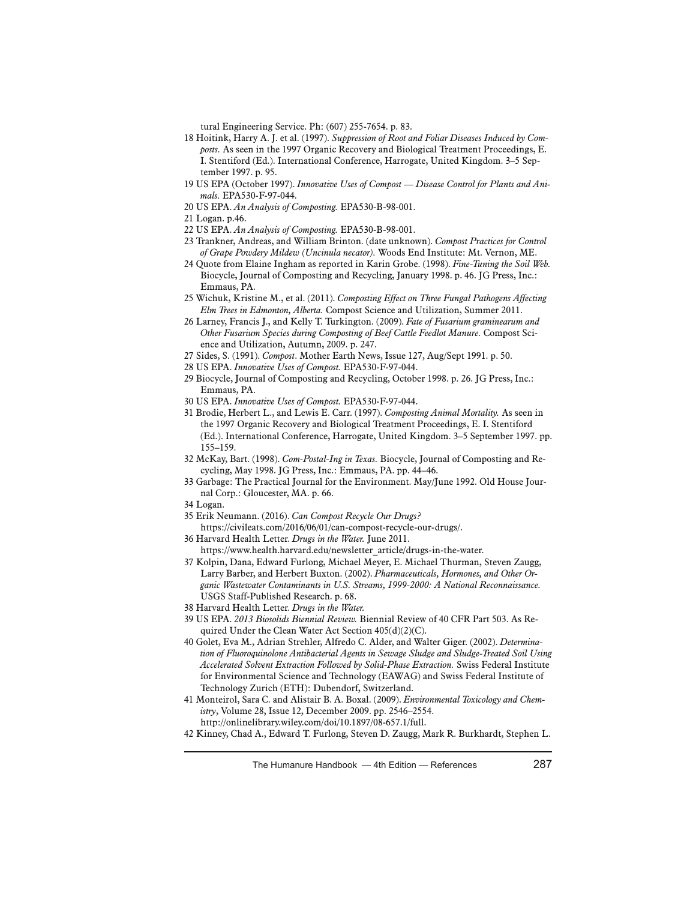tural Engineering Service. Ph: (607) 255-7654. p. 83.

- 18 Hoitink, Harry A. J. et al. (1997). *Suppression of Root and Foliar Diseases Induced by Composts.* As seen in the 1997 Organic Recovery and Biological Treatment Proceedings, E. I. Stentiford (Ed.). International Conference, Harrogate, United Kingdom. 3–5 September 1997. p. 95.
- 19 US EPA (October 1997). *Innovative Uses of Compost Disease Control for Plants and Animals.* EPA530-F-97-044.
- 20 US EPA. *An Analysis of Composting.* EPA530-B-98-001.
- 21 Logan. p.46.
- 22 US EPA. *An Analysis of Composting.* EPA530-B-98-001.
- 23 Trankner, Andreas, and William Brinton. (date unknown). *Compost Practices for Control of Grape Powdery Mildew (Uncinula necator).* Woods End Institute: Mt. Vernon, ME.
- 24 Quote from Elaine Ingham as reported in Karin Grobe. (1998). *Fine-Tuning the Soil Web.* Biocycle, Journal of Composting and Recycling, January 1998. p. 46. JG Press, Inc.: Emmaus, PA.
- 25 Wichuk, Kristine M., et al. (2011). *Composting Effect on Three Fungal Pathogens Affecting Elm Trees in Edmonton, Alberta.* Compost Science and Utilization, Summer 2011.
- 26 Larney, Francis J., and Kelly T. Turkington. (2009). *Fate of Fusarium graminearum and Other Fusarium Species during Composting of Beef Cattle Feedlot Manure.* Compost Science and Utilization, Autumn, 2009. p. 247.
- 27 Sides, S. (1991). *Compost*. Mother Earth News, Issue 127, Aug/Sept 1991. p. 50.
- 28 US EPA. *Innovative Uses of Compost.* EPA530-F-97-044.
- 29 Biocycle, Journal of Composting and Recycling, October 1998. p. 26. JG Press, Inc.: Emmaus, PA.
- 30 US EPA. *Innovative Uses of Compost.* EPA530-F-97-044.
- 31 Brodie, Herbert L., and Lewis E. Carr. (1997). *Composting Animal Mortality.* As seen in the 1997 Organic Recovery and Biological Treatment Proceedings, E. I. Stentiford (Ed.). International Conference, Harrogate, United Kingdom. 3–5 September 1997. pp. 155–159.
- 32 McKay, Bart. (1998). *Com-Postal-Ing in Texas.* Biocycle, Journal of Composting and Recycling, May 1998. JG Press, Inc.: Emmaus, PA. pp. 44–46.
- 33 Garbage: The Practical Journal for the Environment. May/June 1992. Old House Journal Corp.: Gloucester, MA. p. 66.
- 34 Logan.
- 35 Erik Neumann. (2016). *Can Compost Recycle Our Drugs?*
- https://civileats.com/2016/06/01/can-compost-recycle-our-drugs/.
- 36 Harvard Health Letter. *Drugs in the Water.* June 2011.
	- https://www.health.harvard.edu/newsletter\_article/drugs-in-the-water.
- 37 Kolpin, Dana, Edward Furlong, Michael Meyer, E. Michael Thurman, Steven Zaugg, Larry Barber, and Herbert Buxton. (2002). *Pharmaceuticals, Hormones, and Other Organic Wastewater Contaminants in U.S. Streams, 1999-2000: A National Reconnaissance.* USGS Staff-Published Research. p. 68.
- 38 Harvard Health Letter. *Drugs in the Water.*
- 39 US EPA. *2013 Biosolids Biennial Review.* Biennial Review of 40 CFR Part 503. As Required Under the Clean Water Act Section 405(d)(2)(C).
- 40 Golet, Eva M., Adrian Strehler, Alfredo C. Alder, and Walter Giger. (2002). *Determination of Fluoroquinolone Antibacterial Agents in Sewage Sludge and Sludge-Treated Soil Using Accelerated Solvent Extraction Followed by Solid-Phase Extraction.* Swiss Federal Institute for Environmental Science and Technology (EAWAG) and Swiss Federal Institute of Technology Zurich (ETH): Dubendorf, Switzerland.
- 41 Monteirol, Sara C. and Alistair B. A. Boxal. (2009). *Environmental Toxicology and Chemistry*, Volume 28, Issue 12, December 2009. pp. 2546–2554. http://onlinelibrary.wiley.com/doi/10.1897/08-657.1/full.
- 42 Kinney, Chad A., Edward T. Furlong, Steven D. Zaugg, Mark R. Burkhardt, Stephen L.

The Humanure Handbook   — 4th Edition — References 287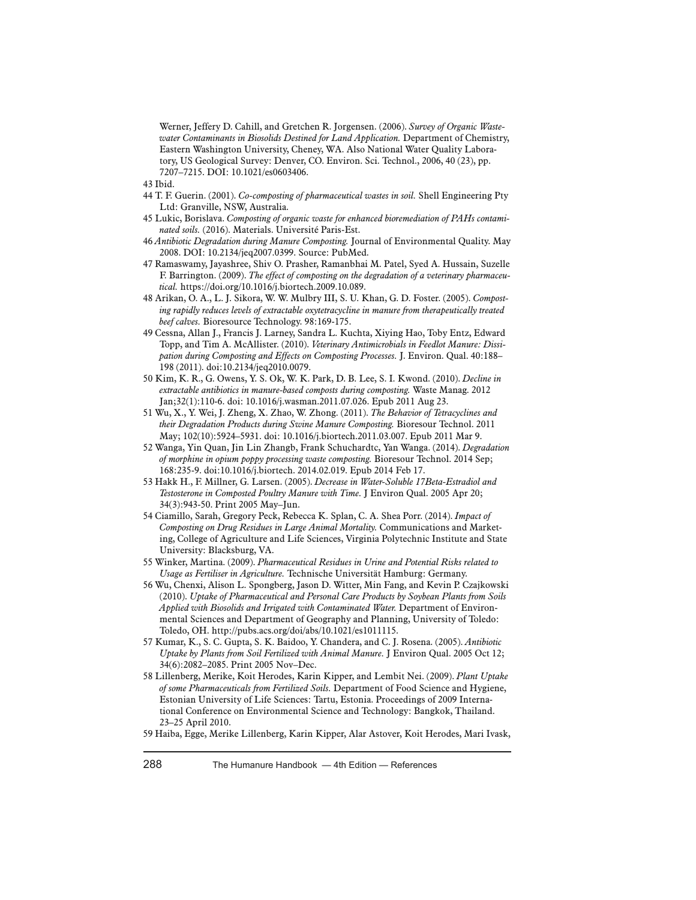Werner, Jeffery D. Cahill, and Gretchen R. Jorgensen. (2006). *Survey of Organic Wastewater Contaminants in Biosolids Destined for Land Application.* Department of Chemistry, Eastern Washington University, Cheney, WA. Also National Water Quality Laboratory, US Geological Survey: Denver, CO. Environ. Sci. Technol., 2006, 40 (23), pp. 7207–7215. DOI: 10.1021/es0603406.

43 Ibid.

- 44 T. F. Guerin. (2001). *Co-composting of pharmaceutical wastes in soil.* Shell Engineering Pty Ltd: Granville, NSW, Australia.
- 45 Lukic, Borislava. *Composting of organic waste for enhanced bioremediation of PAHs contaminated soils.* (2016). Materials. Université Paris-Est.
- 46 *Antibiotic Degradation during Manure Composting.* Journal of Environmental Quality. May 2008. DOI: 10.2134/jeq2007.0399. Source: PubMed.
- 47 Ramaswamy, Jayashree, Shiv O. Prasher, Ramanbhai M. Patel, Syed A. Hussain, Suzelle F. Barrington. (2009). *The effect of composting on the degradation of a veterinary pharmaceutical.* https://doi.org/10.1016/j.biortech.2009.10.089.
- 48 Arikan, O. A., L. J. Sikora, W. W. Mulbry III, S. U. Khan, G. D. Foster. (2005). *Composting rapidly reduces levels of extractable oxytetracycline in manure from therapeutically treated beef calves.* Bioresource Technology. 98:169-175.
- 49 Cessna, Allan J., Francis J. Larney, Sandra L. Kuchta, Xiying Hao, Toby Entz, Edward Topp, and Tim A. McAllister. (2010). *Veterinary Antimicrobials in Feedlot Manure: Dissipation during Composting and Effects on Composting Processes.* J. Environ. Qual. 40:188– 198 (2011). doi:10.2134/jeq2010.0079.
- 50 Kim, K. R., G. Owens, Y. S. Ok, W. K. Park, D. B. Lee, S. I. Kwond. (2010). *Decline in extractable antibiotics in manure-based composts during composting.* Waste Manag. 2012 Jan;32(1):110-6. doi: 10.1016/j.wasman.2011.07.026. Epub 2011 Aug 23.
- 51 Wu, X., Y. Wei, J. Zheng, X. Zhao, W. Zhong. (2011). *The Behavior of Tetracyclines and their Degradation Products during Swine Manure Composting.* Bioresour Technol. 2011 May; 102(10):5924–5931. doi: 10.1016/j.biortech.2011.03.007. Epub 2011 Mar 9.
- 52 Wanga, Yin Quan, Jin Lin Zhangb, Frank Schuchardtc, Yan Wanga. (2014). *Degradation of morphine in opium poppy processing waste composting.* Bioresour Technol. 2014 Sep; 168:235-9. doi:10.1016/j.biortech. 2014.02.019. Epub 2014 Feb 17.
- 53 Hakk H., F. Millner, G. Larsen. (2005). *Decrease in Water-Soluble 17Beta-Estradiol and Testosterone in Composted Poultry Manure with Time.* J Environ Qual. 2005 Apr 20; 34(3):943-50. Print 2005 May–Jun.
- 54 Ciamillo, Sarah, Gregory Peck, Rebecca K. Splan, C. A. Shea Porr. (2014). *Impact of Composting on Drug Residues in Large Animal Mortality.* Communications and Marketing, College of Agriculture and Life Sciences, Virginia Polytechnic Institute and State University: Blacksburg, VA.
- 55 Winker, Martina. (2009). *Pharmaceutical Residues in Urine and Potential Risks related to Usage as Fertiliser in Agriculture.* Technische Universität Hamburg: Germany.
- 56 Wu, Chenxi, Alison L. Spongberg, Jason D. Witter, Min Fang, and Kevin P. Czajkowski (2010). *Uptake of Pharmaceutical and Personal Care Products by Soybean Plants from Soils Applied with Biosolids and Irrigated with Contaminated Water.* Department of Environmental Sciences and Department of Geography and Planning, University of Toledo: Toledo, OH. http://pubs.acs.org/doi/abs/10.1021/es1011115.
- 57 Kumar, K., S. C. Gupta, S. K. Baidoo, Y. Chandera, and C. J. Rosena. (2005). *Antibiotic Uptake by Plants from Soil Fertilized with Animal Manure.* J Environ Qual. 2005 Oct 12; 34(6):2082–2085. Print 2005 Nov–Dec.
- 58 Lillenberg, Merike, Koit Herodes, Karin Kipper, and Lembit Nei. (2009). *Plant Uptake of some Pharmaceuticals from Fertilized Soils.* Department of Food Science and Hygiene, Estonian University of Life Sciences: Tartu, Estonia. Proceedings of 2009 International Conference on Environmental Science and Technology: Bangkok, Thailand. 23–25 April 2010.
- 59 Haiba, Egge, Merike Lillenberg, Karin Kipper, Alar Astover, Koit Herodes, Mari Ivask,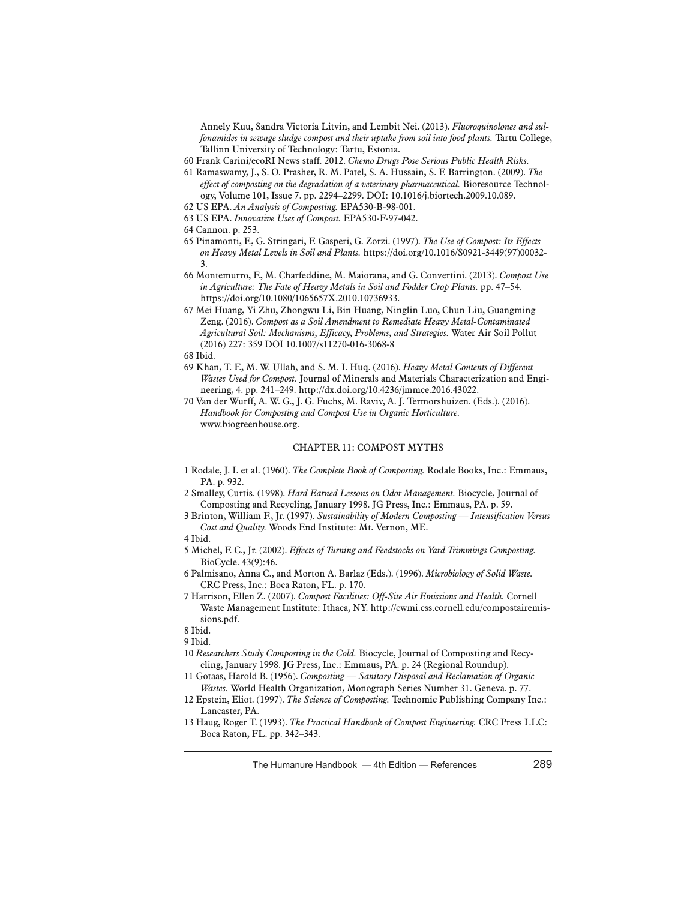Annely Kuu, Sandra Victoria Litvin, and Lembit Nei. (2013). *Fluoroquinolones and sulfonamides in sewage sludge compost and their uptake from soil into food plants.* Tartu College, Tallinn University of Technology: Tartu, Estonia.

- 60 Frank Carini/ecoRI News staff. 2012. *Chemo Drugs Pose Serious Public Health Risks.*
- 61 Ramaswamy, J., S. O. Prasher, R. M. Patel, S. A. Hussain, S. F. Barrington. (2009). *The effect of composting on the degradation of a veterinary pharmaceutical.* Bioresource Technology, Volume 101, Issue 7. pp. 2294–2299. DOI: 10.1016/j.biortech.2009.10.089.
- 62 US EPA. *An Analysis of Composting.* EPA530-B-98-001.
- 63 US EPA. *Innovative Uses of Compost.* EPA530-F-97-042.
- 64 Cannon. p. 253.
- 65 Pinamonti, F., G. Stringari, F. Gasperi, G. Zorzi. (1997). *The Use of Compost: Its Effects on Heavy Metal Levels in Soil and Plants.* https://doi.org/10.1016/S0921-3449(97)00032- 3.
- 66 Montemurro, F., M. Charfeddine, M. Maiorana, and G. Convertini. (2013). *Compost Use in Agriculture: The Fate of Heavy Metals in Soil and Fodder Crop Plants.* pp. 47–54. https://doi.org/10.1080/1065657X.2010.10736933.
- 67 Mei Huang, Yi Zhu, Zhongwu Li, Bin Huang, Ninglin Luo, Chun Liu, Guangming Zeng. (2016). *Compost as a Soil Amendment to Remediate Heavy Metal-Contaminated Agricultural Soil: Mechanisms, Efficacy, Problems, and Strategies.* Water Air Soil Pollut (2016) 227: 359 DOI 10.1007/s11270-016-3068-8
- 68 Ibid.
- 69 Khan, T. F., M. W. Ullah, and S. M. I. Huq. (2016). *Heavy Metal Contents of Different Wastes Used for Compost.* Journal of Minerals and Materials Characterization and Engineering, 4. pp. 241–249. http://dx.doi.org/10.4236/jmmce.2016.43022.
- 70 Van der Wurff, A. W. G., J. G. Fuchs, M. Raviv, A. J. Termorshuizen. (Eds.). (2016). *Handbook for Composting and Compost Use in Organic Horticulture.* www.biogreenhouse.org.

### CHAPTER 11: COMPOST MYTHS

- 1 Rodale, J. I. et al. (1960). *The Complete Book of Composting.* Rodale Books, Inc.: Emmaus, PA. p. 932.
- 2 Smalley, Curtis. (1998). *Hard Earned Lessons on Odor Management.* Biocycle, Journal of Composting and Recycling, January 1998. JG Press, Inc.: Emmaus, PA. p. 59.
- 3 Brinton, William F., Jr. (1997). *Sustainability of Modern Composting Intensification Versus Cost and Quality.* Woods End Institute: Mt. Vernon, ME.
- 4 Ibid.
- 5 Michel, F. C., Jr. (2002). *Effects of Turning and Feedstocks on Yard Trimmings Composting.* BioCycle. 43(9):46.
- 6 Palmisano, Anna C., and Morton A. Barlaz (Eds.). (1996). *Microbiology of Solid Waste.* CRC Press, Inc.: Boca Raton, FL. p. 170.
- 7 Harrison, Ellen Z. (2007). *Compost Facilities: Off-Site Air Emissions and Health.* Cornell Waste Management Institute: Ithaca, NY. http://cwmi.css.cornell.edu/compostairemissions.pdf.

8 Ibid.

- 9 Ibid.
- 10 *Researchers Study Composting in the Cold.* Biocycle, Journal of Composting and Recycling, January 1998. JG Press, Inc.: Emmaus, PA. p. 24 (Regional Roundup).
- 11 Gotaas, Harold B. (1956). *Composting Sanitary Disposal and Reclamation of Organic Wastes.* World Health Organization, Monograph Series Number 31. Geneva. p. 77.
- 12 Epstein, Eliot. (1997). *The Science of Composting.* Technomic Publishing Company Inc.: Lancaster, PA.
- 13 Haug, Roger T. (1993). *The Practical Handbook of Compost Engineering.* CRC Press LLC: Boca Raton, FL. pp. 342–343.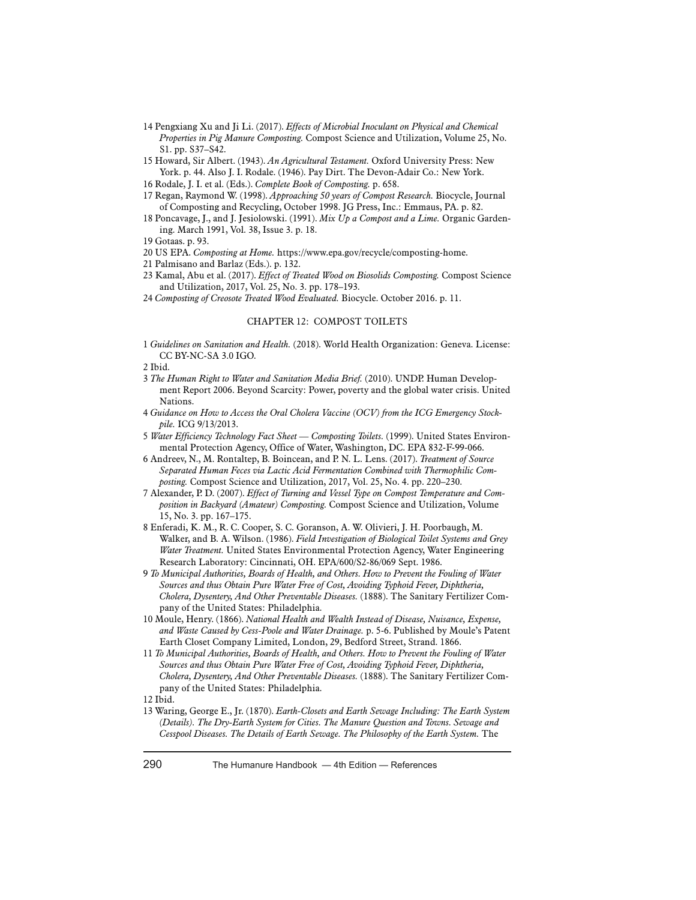- 14 Pengxiang Xu and Ji Li. (2017). *Effects of Microbial Inoculant on Physical and Chemical Properties in Pig Manure Composting.* Compost Science and Utilization, Volume 25, No. S1. pp. S37–S42.
- 15 Howard, Sir Albert. (1943). *An Agricultural Testament.* Oxford University Press: New York. p. 44. Also J. I. Rodale. (1946). Pay Dirt. The Devon-Adair Co.: New York.
- 16 Rodale, J. I. et al. (Eds.). *Complete Book of Composting.* p. 658.
- 17 Regan, Raymond W. (1998). *Approaching 50 years of Compost Research.* Biocycle, Journal of Composting and Recycling, October 1998. JG Press, Inc.: Emmaus, PA. p. 82.
- 18 Poncavage, J., and J. Jesiolowski. (1991). *Mix Up a Compost and a Lime.* Organic Gardening. March 1991, Vol. 38, Issue 3. p. 18.
- 19 Gotaas. p. 93.
- 20 US EPA. *Composting at Home.* https://www.epa.gov/recycle/composting-home.
- 21 Palmisano and Barlaz (Eds.). p. 132.
- 23 Kamal, Abu et al. (2017). *Effect of Treated Wood on Biosolids Composting.* Compost Science and Utilization, 2017, Vol. 25, No. 3. pp. 178–193.
- 24 *Composting of Creosote Treated Wood Evaluated.* Biocycle. October 2016. p. 11.

#### CHAPTER 12: COMPOST TOILETS

1 *Guidelines on Sanitation and Health.* (2018). World Health Organization: Geneva. License: CC BY-NC-SA 3.0 IGO.

2 Ibid.

- 3 *The Human Right to Water and Sanitation Media Brief.* (2010). UNDP. Human Development Report 2006. Beyond Scarcity: Power, poverty and the global water crisis. United Nations.
- 4 *Guidance on How to Access the Oral Cholera Vaccine (OCV) from the ICG Emergency Stockpile.* ICG 9/13/2013.
- 5 *Water Efficiency Technology Fact Sheet Composting Toilets.* (1999). United States Environmental Protection Agency, Office of Water, Washington, DC. EPA 832-F-99-066.
- 6 Andreev, N., M. Rontaltep, B. Boincean, and P. N. L. Lens. (2017). *Treatment of Source Separated Human Feces via Lactic Acid Fermentation Combined with Thermophilic Composting.* Compost Science and Utilization, 2017, Vol. 25, No. 4. pp. 220–230.
- 7 Alexander, P. D. (2007). *Effect of Turning and Vessel Type on Compost Temperature and Composition in Backyard (Amateur) Composting.* Compost Science and Utilization, Volume 15, No. 3. pp. 167–175.
- 8 Enferadi, K. M., R. C. Cooper, S. C. Goranson, A. W. Olivieri, J. H. Poorbaugh, M. Walker, and B. A. Wilson. (1986). *Field Investigation of Biological Toilet Systems and Grey Water Treatment.* United States Environmental Protection Agency, Water Engineering Research Laboratory: Cincinnati, OH. EPA/600/S2-86/069 Sept. 1986.
- 9 *To Municipal Authorities, Boards of Health, and Others. How to Prevent the Fouling of Water Sources and thus Obtain Pure Water Free of Cost, Avoiding Typhoid Fever, Diphtheria, Cholera, Dysentery, And Other Preventable Diseases.* (1888). The Sanitary Fertilizer Company of the United States: Philadelphia.
- 10 Moule, Henry. (1866). *National Health and Wealth Instead of Disease, Nuisance, Expense, and Waste Caused by Cess-Poole and Water Drainage.* p. 5-6. Published by Moule's Patent Earth Closet Company Limited, London, 29, Bedford Street, Strand. 1866.
- 11 *To Municipal Authorities, Boards of Health, and Others. How to Prevent the Fouling of Water Sources and thus Obtain Pure Water Free of Cost, Avoiding Typhoid Fever, Diphtheria, Cholera, Dysentery, And Other Preventable Diseases.* (1888). The Sanitary Fertilizer Company of the United States: Philadelphia.
- 12 Ibid.
- 13 Waring, George E., Jr. (1870). *Earth-Closets and Earth Sewage Including: The Earth System (Details). The Dry-Earth System for Cities. The Manure Question and Towns. Sewage and Cesspool Diseases. The Details of Earth Sewage. The Philosophy of the Earth System.* The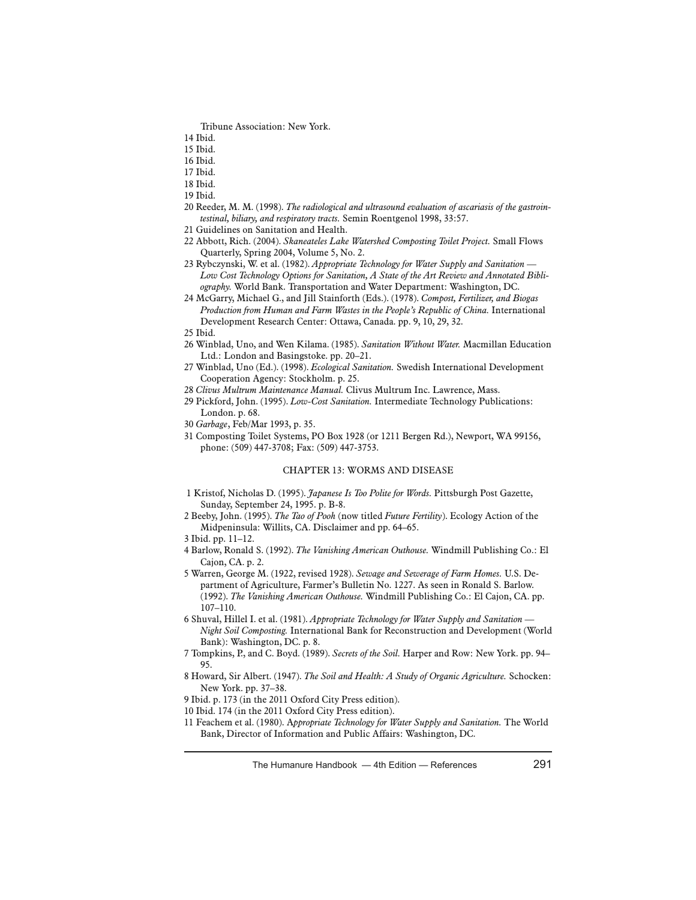Tribune Association: New York.

- 15 Ibid.
- 16 Ibid.
- 17 Ibid.
- 18 Ibid.
- 19 Ibid.
- 20 Reeder, M. M. (1998). *The radiological and ultrasound evaluation of ascariasis of the gastrointestinal, biliary, and respiratory tracts.* Semin Roentgenol 1998, 33:57.
- 21 Guidelines on Sanitation and Health.
- 22 Abbott, Rich. (2004). *Skaneateles Lake Watershed Composting Toilet Project.* Small Flows Quarterly, Spring 2004, Volume 5, No. 2.
- 23 Rybczynski, W. et al. (1982). *Appropriate Technology for Water Supply and Sanitation Low Cost Technology Options for Sanitation, A State of the Art Review and Annotated Bibliography.* World Bank. Transportation and Water Department: Washington, DC.
- 24 McGarry, Michael G., and Jill Stainforth (Eds.). (1978). *Compost, Fertilizer, and Biogas Production from Human and Farm Wastes in the People's Republic of China.* International Development Research Center: Ottawa, Canada. pp. 9, 10, 29, 32.

- 26 Winblad, Uno, and Wen Kilama. (1985). *Sanitation Without Water.* Macmillan Education Ltd.: London and Basingstoke. pp. 20–21.
- 27 Winblad, Uno (Ed.). (1998). *Ecological Sanitation.* Swedish International Development Cooperation Agency: Stockholm. p. 25.
- 28 *Clivus Multrum Maintenance Manual.* Clivus Multrum Inc. Lawrence, Mass.
- 29 Pickford, John. (1995). *Low-Cost Sanitation.* Intermediate Technology Publications: London. p. 68.
- 30 *Garbage*, Feb/Mar 1993, p. 35.
- 31 Composting Toilet Systems, PO Box 1928 (or 1211 Bergen Rd.), Newport, WA 99156, phone: (509) 447-3708; Fax: (509) 447-3753.

## CHAPTER 13: WORMS AND DISEASE

- 1 Kristof, Nicholas D. (1995). *Japanese Is Too Polite for Words.* Pittsburgh Post Gazette, Sunday, September 24, 1995. p. B-8.
- 2 Beeby, John. (1995). *The Tao of Pooh* (now titled *Future Fertility*). Ecology Action of the Midpeninsula: Willits, CA. Disclaimer and pp. 64–65.

- 4 Barlow, Ronald S. (1992). *The Vanishing American Outhouse.* Windmill Publishing Co.: El Cajon, CA. p. 2.
- 5 Warren, George M. (1922, revised 1928). *Sewage and Sewerage of Farm Homes.* U.S. Department of Agriculture, Farmer's Bulletin No. 1227. As seen in Ronald S. Barlow. (1992). *The Vanishing American Outhouse.* Windmill Publishing Co.: El Cajon, CA. pp. 107–110.
- 6 Shuval, Hillel I. et al. (1981). *Appropriate Technology for Water Supply and Sanitation Night Soil Composting.* International Bank for Reconstruction and Development (World Bank): Washington, DC. p. 8.
- 7 Tompkins, P., and C. Boyd. (1989). *Secrets of the Soil.* Harper and Row: New York. pp. 94– 95.
- 8 Howard, Sir Albert. (1947). *The Soil and Health: A Study of Organic Agriculture.* Schocken: New York. pp. 37–38.
- 9 Ibid. p. 173 (in the 2011 Oxford City Press edition).

10 Ibid. 174 (in the 2011 Oxford City Press edition).

11 Feachem et al. (1980). A*ppropriate Technology for Water Supply and Sanitation.* The World Bank, Director of Information and Public Affairs: Washington, DC.

<sup>14</sup> Ibid.

<sup>25</sup> Ibid.

<sup>3</sup> Ibid. pp. 11–12.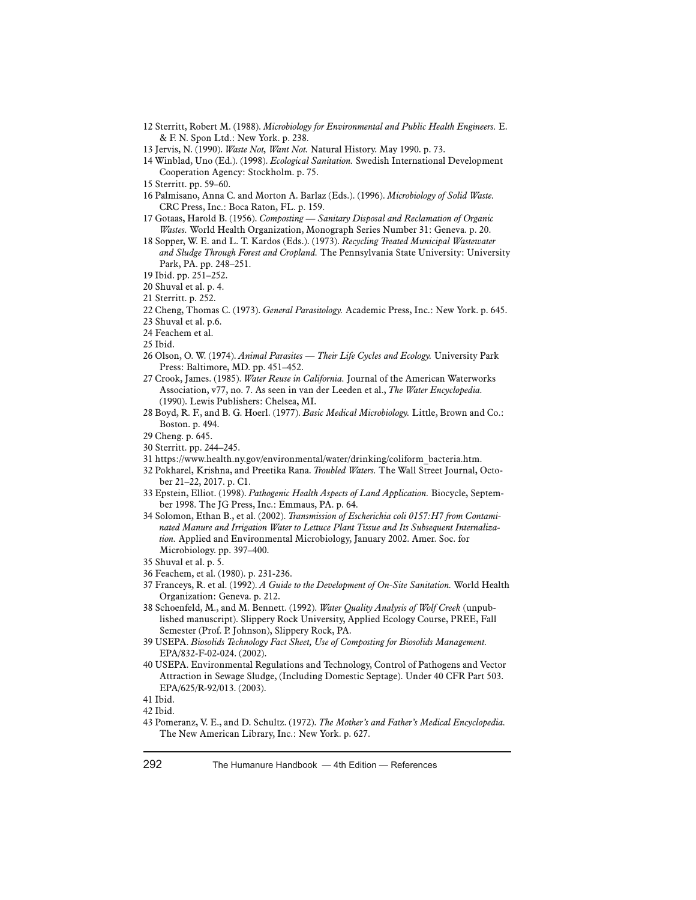- 12 Sterritt, Robert M. (1988). *Microbiology for Environmental and Public Health Engineers.* E. & F. N. Spon Ltd.: New York. p. 238.
- 13 Jervis, N. (1990). *Waste Not, Want Not.* Natural History. May 1990. p. 73.
- 14 Winblad, Uno (Ed.). (1998). *Ecological Sanitation.* Swedish International Development Cooperation Agency: Stockholm. p. 75.
- 15 Sterritt. pp. 59–60.
- 16 Palmisano, Anna C. and Morton A. Barlaz (Eds.). (1996). *Microbiology of Solid Waste.* CRC Press, Inc.: Boca Raton, FL. p. 159.
- 17 Gotaas, Harold B. (1956). *Composting Sanitary Disposal and Reclamation of Organic Wastes.* World Health Organization, Monograph Series Number 31: Geneva. p. 20.
- 18 Sopper, W. E. and L. T. Kardos (Eds.). (1973). *Recycling Treated Municipal Wastewater and Sludge Through Forest and Cropland.* The Pennsylvania State University: University Park, PA. pp. 248–251.
- 19 Ibid. pp. 251–252.
- 20 Shuval et al. p. 4.
- 21 Sterritt. p. 252.
- 22 Cheng, Thomas C. (1973). *General Parasitology.* Academic Press, Inc.: New York. p. 645.
- 23 Shuval et al. p.6.
- 24 Feachem et al.
- 25 Ibid.
- 26 Olson, O. W. (1974). *Animal Parasites Their Life Cycles and Ecology.* University Park Press: Baltimore, MD. pp. 451–452.
- 27 Crook, James. (1985). *Water Reuse in California.* Journal of the American Waterworks Association, v77, no. 7. As seen in van der Leeden et al., *The Water Encyclopedia.* (1990). Lewis Publishers: Chelsea, MI.
- 28 Boyd, R. F., and B. G. Hoerl. (1977). *Basic Medical Microbiology.* Little, Brown and Co.: Boston. p. 494.
- 29 Cheng. p. 645.
- 30 Sterritt. pp. 244–245.
- 31 https://www.health.ny.gov/environmental/water/drinking/coliform\_bacteria.htm.
- 32 Pokharel, Krishna, and Preetika Rana. *Troubled Waters.* The Wall Street Journal, October 21–22, 2017. p. C1.
- 33 Epstein, Elliot. (1998). *Pathogenic Health Aspects of Land Application.* Biocycle, September 1998. The JG Press, Inc.: Emmaus, PA. p. 64.
- 34 Solomon, Ethan B., et al. (2002). *Transmission of Escherichia coli 0157:H7 from Contaminated Manure and Irrigation Water to Lettuce Plant Tissue and Its Subsequent Internalization.* Applied and Environmental Microbiology, January 2002. Amer. Soc. for Microbiology. pp. 397–400.
- 35 Shuval et al. p. 5.
- 36 Feachem, et al. (1980). p. 231-236.
- 37 Franceys, R. et al. (1992). *A Guide to the Development of On-Site Sanitation.* World Health Organization: Geneva. p. 212.
- 38 Schoenfeld, M., and M. Bennett. (1992). *Water Quality Analysis of Wolf Creek* (unpublished manuscript). Slippery Rock University, Applied Ecology Course, PREE, Fall Semester (Prof. P. Johnson), Slippery Rock, PA.
- 39 USEPA. *Biosolids Technology Fact Sheet, Use of Composting for Biosolids Management.* EPA/832-F-02-024. (2002).
- 40 USEPA. Environmental Regulations and Technology, Control of Pathogens and Vector Attraction in Sewage Sludge, (Including Domestic Septage). Under 40 CFR Part 503. EPA/625/R-92/013. (2003).

43 Pomeranz, V. E., and D. Schultz. (1972). *The Mother's and Father's Medical Encyclopedia.*  The New American Library, Inc.: New York. p. 627.

<sup>41</sup> Ibid.

<sup>42</sup> Ibid.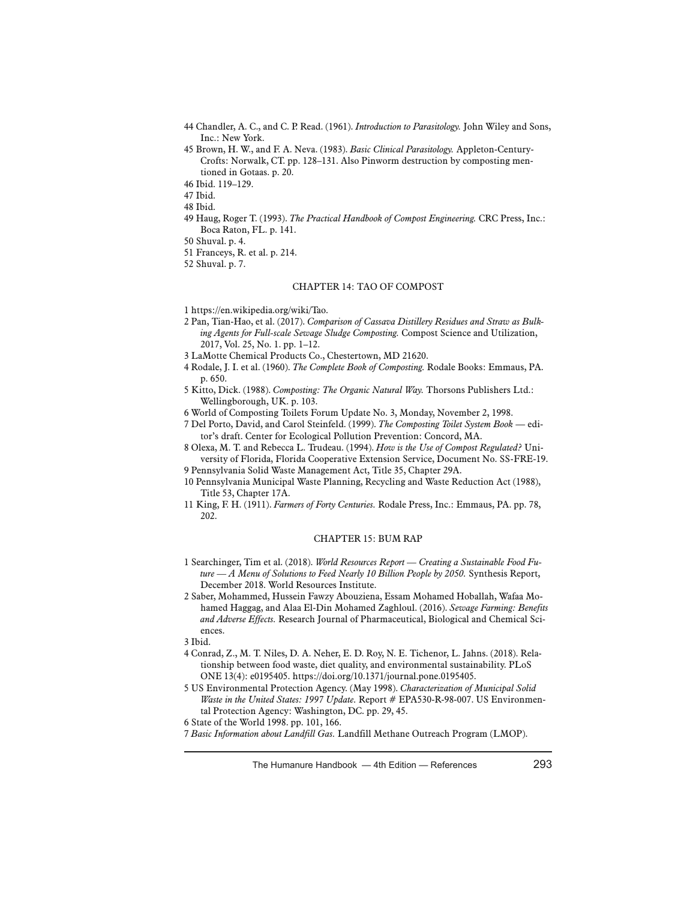- 44 Chandler, A. C., and C. P. Read. (1961). *Introduction to Parasitology.* John Wiley and Sons, Inc.: New York.
- 45 Brown, H. W., and F. A. Neva. (1983). *Basic Clinical Parasitology.* Appleton-Century-Crofts: Norwalk, CT. pp. 128–131. Also Pinworm destruction by composting mentioned in Gotaas. p. 20.
- 46 Ibid. 119–129.

47 Ibid.

- 48 Ibid.
- 49 Haug, Roger T. (1993). *The Practical Handbook of Compost Engineering.* CRC Press, Inc.: Boca Raton, FL. p. 141.
- 50 Shuval. p. 4.
- 51 Franceys, R. et al. p. 214.
- 52 Shuval. p. 7.

#### CHAPTER 14: TAO OF COMPOST

- 1 https://en.wikipedia.org/wiki/Tao.
- 2 Pan, Tian-Hao, et al. (2017). *Comparison of Cassava Distillery Residues and Straw as Bulking Agents for Full-scale Sewage Sludge Composting.* Compost Science and Utilization, 2017, Vol. 25, No. 1. pp. 1–12.
- 3 LaMotte Chemical Products Co., Chestertown, MD 21620.
- 4 Rodale, J. I. et al. (1960). *The Complete Book of Composting.* Rodale Books: Emmaus, PA. p. 650.
- 5 Kitto, Dick. (1988). *Composting: The Organic Natural Way.* Thorsons Publishers Ltd.: Wellingborough, UK. p. 103.
- 6 World of Composting Toilets Forum Update No. 3, Monday, November 2, 1998.
- 7 Del Porto, David, and Carol Steinfeld. (1999). *The Composting Toilet System Book*  editor's draft. Center for Ecological Pollution Prevention: Concord, MA.
- 8 Olexa, M. T. and Rebecca L. Trudeau. (1994). *How is the Use of Compost Regulated?* University of Florida, Florida Cooperative Extension Service, Document No. SS-FRE-19.
- 9 Pennsylvania Solid Waste Management Act, Title 35, Chapter 29A.
- 10 Pennsylvania Municipal Waste Planning, Recycling and Waste Reduction Act (1988), Title 53, Chapter 17A.
- 11 King, F. H. (1911). *Farmers of Forty Centuries.* Rodale Press, Inc.: Emmaus, PA. pp. 78, 202.

## CHAPTER 15: BUM RAP

- 1 Searchinger, Tim et al. (2018). *World Resources Report Creating a Sustainable Food Future — A Menu of Solutions to Feed Nearly 10 Billion People by 2050.* Synthesis Report, December 2018. World Resources Institute.
- 2 Saber, Mohammed, Hussein Fawzy Abouziena, Essam Mohamed Hoballah, Wafaa Mohamed Haggag, and Alaa El-Din Mohamed Zaghloul. (2016). *Sewage Farming: Benefits and Adverse Effects.* Research Journal of Pharmaceutical, Biological and Chemical Sciences.
- 3 Ibid.
- 4 Conrad, Z., M. T. Niles, D. A. Neher, E. D. Roy, N. E. Tichenor, L. Jahns. (2018). Relationship between food waste, diet quality, and environmental sustainability. PLoS ONE 13(4): e0195405. https://doi.org/10.1371/journal.pone.0195405.
- 5 US Environmental Protection Agency. (May 1998). *Characterization of Municipal Solid Waste in the United States: 1997 Update.* Report # EPA530-R-98-007. US Environmental Protection Agency: Washington, DC. pp. 29, 45.

<sup>6</sup> State of the World 1998. pp. 101, 166.

<sup>7</sup> *Basic Information about Landfill Gas.* Landfill Methane Outreach Program (LMOP).